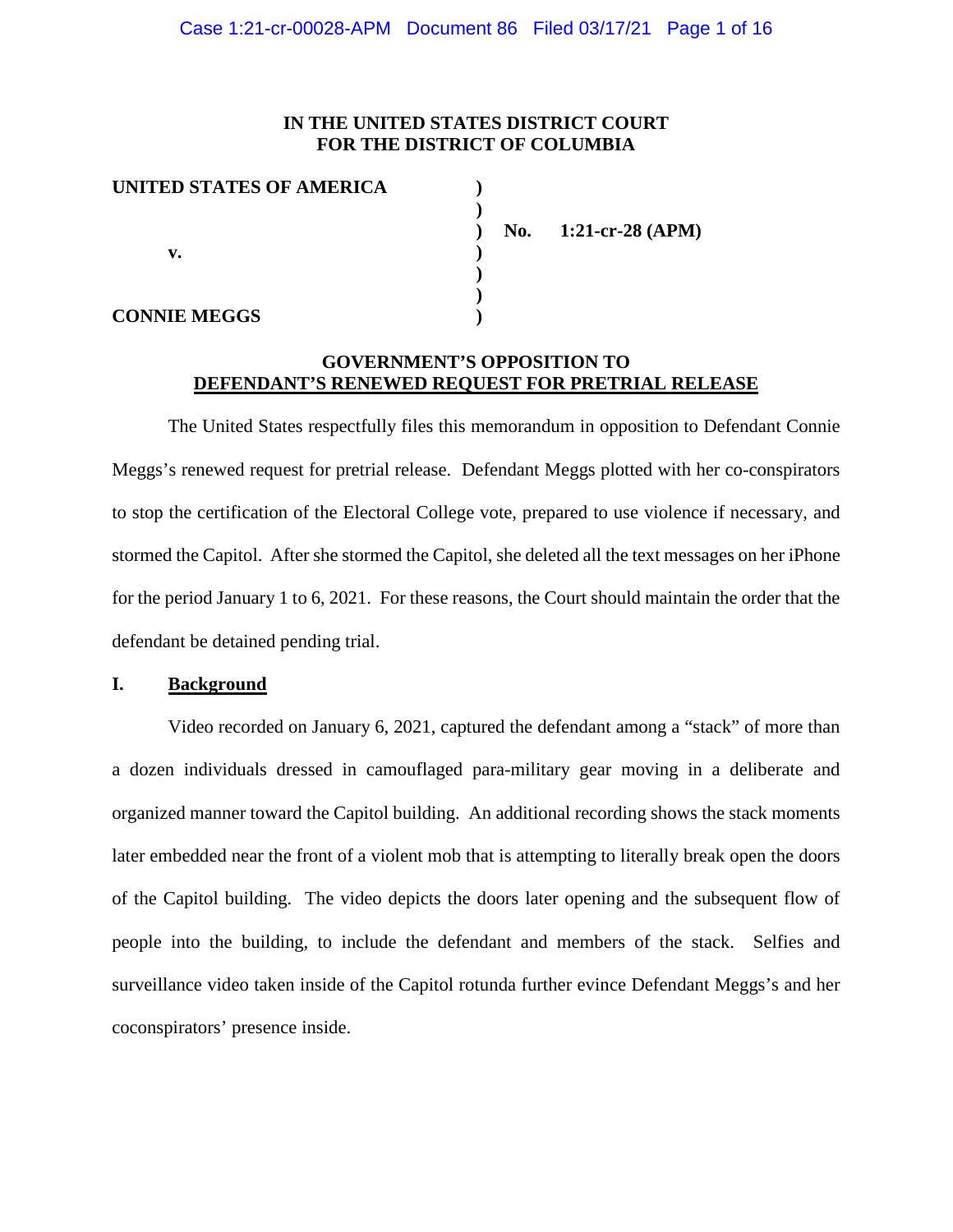### **IN THE UNITED STATES DISTRICT COURT FOR THE DISTRICT OF COLUMBIA**

| UNITED STATES OF AMERICA |  |
|--------------------------|--|
|                          |  |
|                          |  |
| v.                       |  |
|                          |  |
|                          |  |
| <b>CONNIE MEGGS</b>      |  |

**) No. 1:21-cr-28 (APM)**

## **GOVERNMENT'S OPPOSITION TO DEFENDANT'S RENEWED REQUEST FOR PRETRIAL RELEASE**

The United States respectfully files this memorandum in opposition to Defendant Connie Meggs's renewed request for pretrial release. Defendant Meggs plotted with her co-conspirators to stop the certification of the Electoral College vote, prepared to use violence if necessary, and stormed the Capitol. After she stormed the Capitol, she deleted all the text messages on her iPhone for the period January 1 to 6, 2021. For these reasons, the Court should maintain the order that the defendant be detained pending trial.

### **I. Background**

Video recorded on January 6, 2021, captured the defendant among a "stack" of more than a dozen individuals dressed in camouflaged para-military gear moving in a deliberate and organized manner toward the Capitol building. An additional recording shows the stack moments later embedded near the front of a violent mob that is attempting to literally break open the doors of the Capitol building. The video depicts the doors later opening and the subsequent flow of people into the building, to include the defendant and members of the stack. Selfies and surveillance video taken inside of the Capitol rotunda further evince Defendant Meggs's and her coconspirators' presence inside.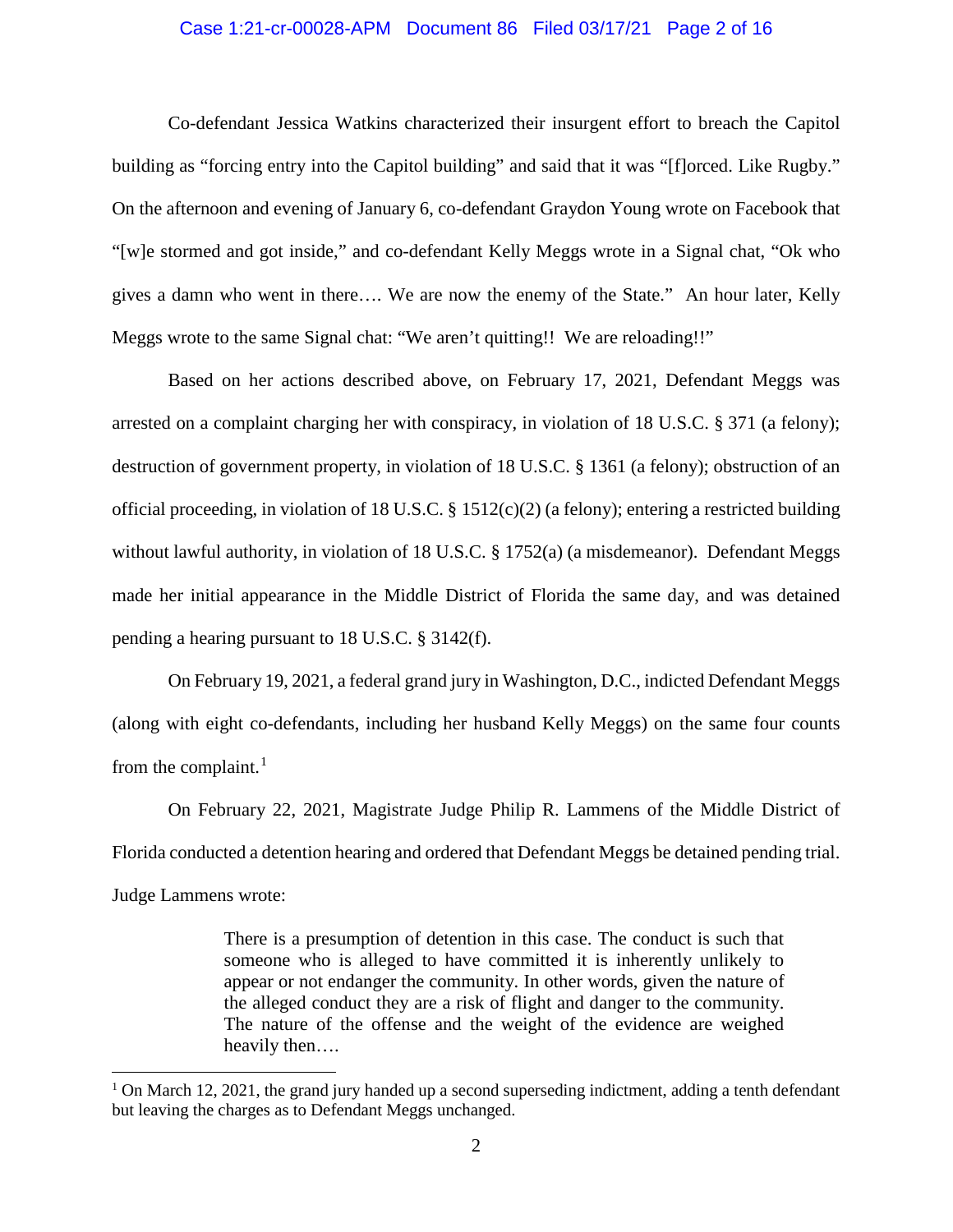### Case 1:21-cr-00028-APM Document 86 Filed 03/17/21 Page 2 of 16

Co-defendant Jessica Watkins characterized their insurgent effort to breach the Capitol building as "forcing entry into the Capitol building" and said that it was "[f]orced. Like Rugby." On the afternoon and evening of January 6, co-defendant Graydon Young wrote on Facebook that "[w]e stormed and got inside," and co-defendant Kelly Meggs wrote in a Signal chat, "Ok who gives a damn who went in there…. We are now the enemy of the State." An hour later, Kelly Meggs wrote to the same Signal chat: "We aren't quitting!! We are reloading!!"

Based on her actions described above, on February 17, 2021, Defendant Meggs was arrested on a complaint charging her with conspiracy, in violation of 18 U.S.C. § 371 (a felony); destruction of government property, in violation of 18 U.S.C. § 1361 (a felony); obstruction of an official proceeding, in violation of 18 U.S.C. § 1512(c)(2) (a felony); entering a restricted building without lawful authority, in violation of 18 U.S.C. § 1752(a) (a misdemeanor). Defendant Meggs made her initial appearance in the Middle District of Florida the same day, and was detained pending a hearing pursuant to 18 U.S.C. § 3142(f).

On February 19, 2021, a federal grand jury in Washington, D.C., indicted Defendant Meggs (along with eight co-defendants, including her husband Kelly Meggs) on the same four counts from the complaint.<sup>1</sup>

On February 22, 2021, Magistrate Judge Philip R. Lammens of the Middle District of Florida conducted a detention hearing and ordered that Defendant Meggs be detained pending trial. Judge Lammens wrote:

> There is a presumption of detention in this case. The conduct is such that someone who is alleged to have committed it is inherently unlikely to appear or not endanger the community. In other words, given the nature of the alleged conduct they are a risk of flight and danger to the community. The nature of the offense and the weight of the evidence are weighed heavily then….

 $1$  On March 12, 2021, the grand jury handed up a second superseding indictment, adding a tenth defendant but leaving the charges as to Defendant Meggs unchanged.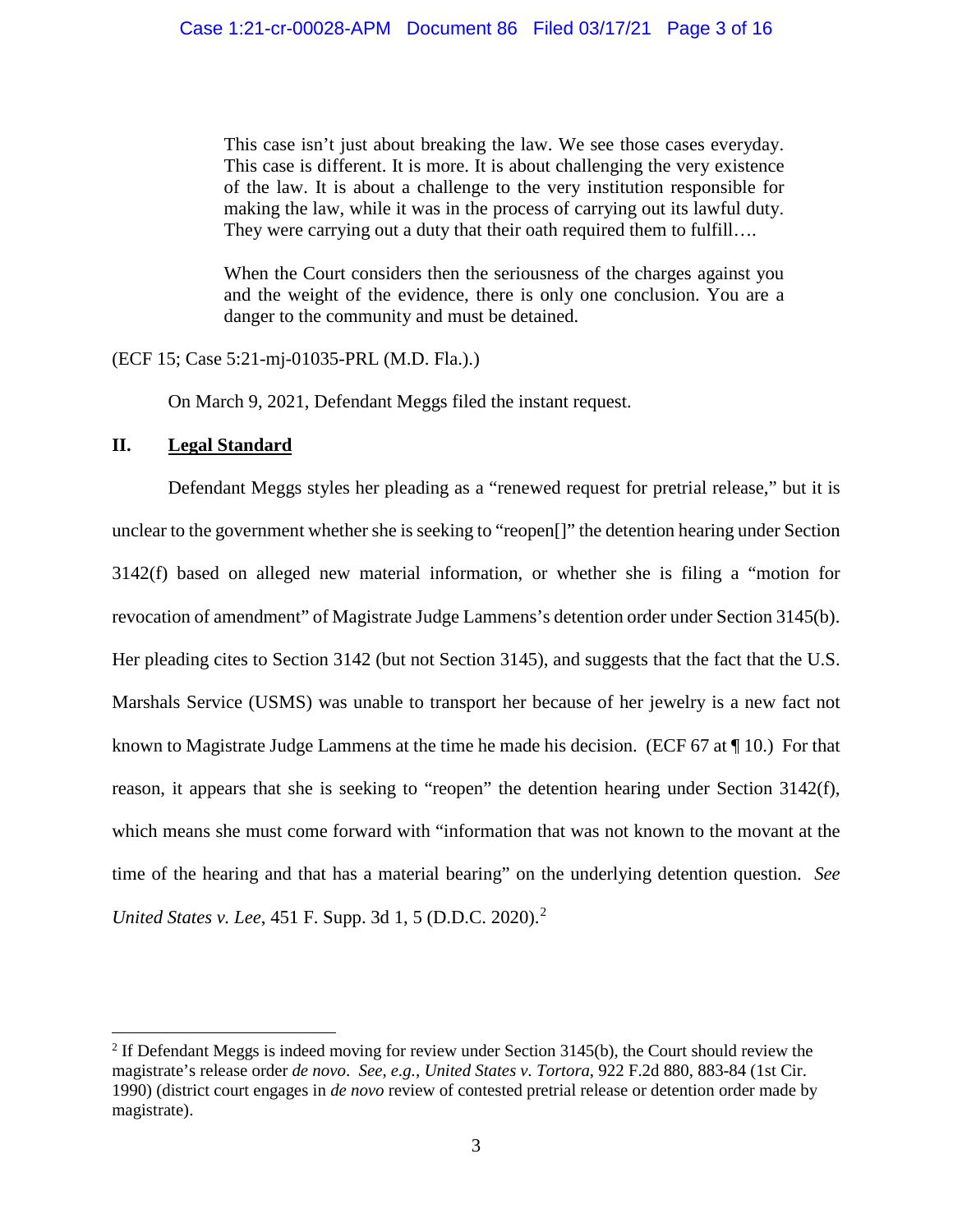This case isn't just about breaking the law. We see those cases everyday. This case is different. It is more. It is about challenging the very existence of the law. It is about a challenge to the very institution responsible for making the law, while it was in the process of carrying out its lawful duty. They were carrying out a duty that their oath required them to fulfill....

When the Court considers then the seriousness of the charges against you and the weight of the evidence, there is only one conclusion. You are a danger to the community and must be detained.

(ECF 15; Case 5:21-mj-01035-PRL (M.D. Fla.).)

On March 9, 2021, Defendant Meggs filed the instant request.

### **II. Legal Standard**

Defendant Meggs styles her pleading as a "renewed request for pretrial release," but it is unclear to the government whether she is seeking to "reopen[]" the detention hearing under Section 3142(f) based on alleged new material information, or whether she is filing a "motion for revocation of amendment" of Magistrate Judge Lammens's detention order under Section 3145(b). Her pleading cites to Section 3142 (but not Section 3145), and suggests that the fact that the U.S. Marshals Service (USMS) was unable to transport her because of her jewelry is a new fact not known to Magistrate Judge Lammens at the time he made his decision. (ECF 67 at ¶ 10.) For that reason, it appears that she is seeking to "reopen" the detention hearing under Section 3142(f), which means she must come forward with "information that was not known to the movant at the time of the hearing and that has a material bearing" on the underlying detention question. *See United States v. Lee,* 451 F. Supp. 3d 1, 5 (D.D.C. 2020).<sup>2</sup>

<sup>&</sup>lt;sup>2</sup> If Defendant Meggs is indeed moving for review under Section  $3145(b)$ , the Court should review the magistrate's release order *de novo*. *See, e.g., United States v. Tortora*, 922 F.2d 880, 883-84 (1st Cir. 1990) (district court engages in *de novo* review of contested pretrial release or detention order made by magistrate).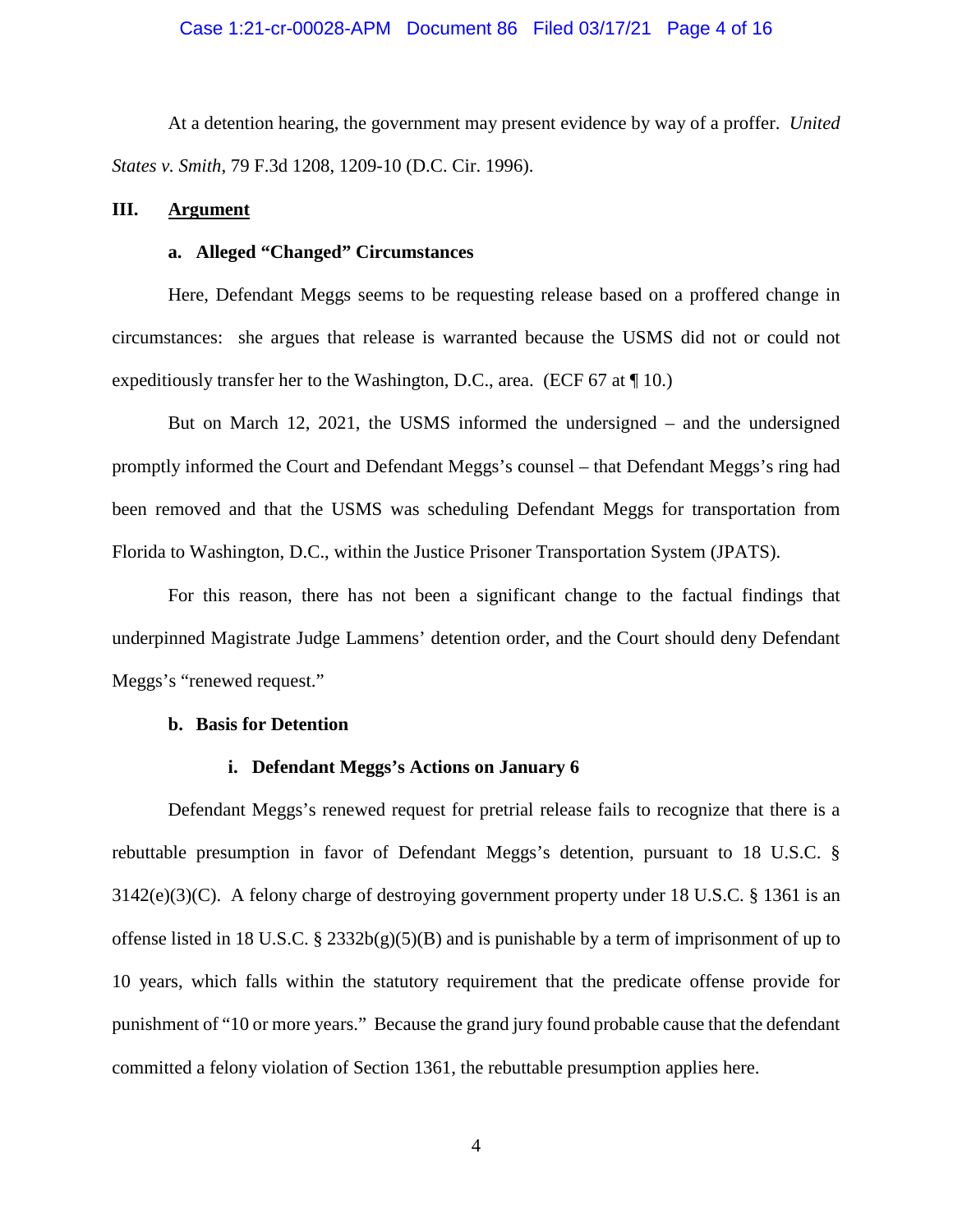At a detention hearing, the government may present evidence by way of a proffer. *United States v. Smith*, 79 F.3d 1208, 1209-10 (D.C. Cir. 1996).

### **III. Argument**

#### **a. Alleged "Changed" Circumstances**

Here, Defendant Meggs seems to be requesting release based on a proffered change in circumstances: she argues that release is warranted because the USMS did not or could not expeditiously transfer her to the Washington, D.C., area. (ECF 67 at ¶ 10.)

But on March 12, 2021, the USMS informed the undersigned – and the undersigned promptly informed the Court and Defendant Meggs's counsel – that Defendant Meggs's ring had been removed and that the USMS was scheduling Defendant Meggs for transportation from Florida to Washington, D.C., within the Justice Prisoner Transportation System (JPATS).

For this reason, there has not been a significant change to the factual findings that underpinned Magistrate Judge Lammens' detention order, and the Court should deny Defendant Meggs's "renewed request."

### **b. Basis for Detention**

### **i. Defendant Meggs's Actions on January 6**

Defendant Meggs's renewed request for pretrial release fails to recognize that there is a rebuttable presumption in favor of Defendant Meggs's detention, pursuant to 18 U.S.C. § 3142(e)(3)(C). A felony charge of destroying government property under 18 U.S.C. § 1361 is an offense listed in 18 U.S.C. § 2332b(g)(5)(B) and is punishable by a term of imprisonment of up to 10 years, which falls within the statutory requirement that the predicate offense provide for punishment of "10 or more years." Because the grand jury found probable cause that the defendant committed a felony violation of Section 1361, the rebuttable presumption applies here.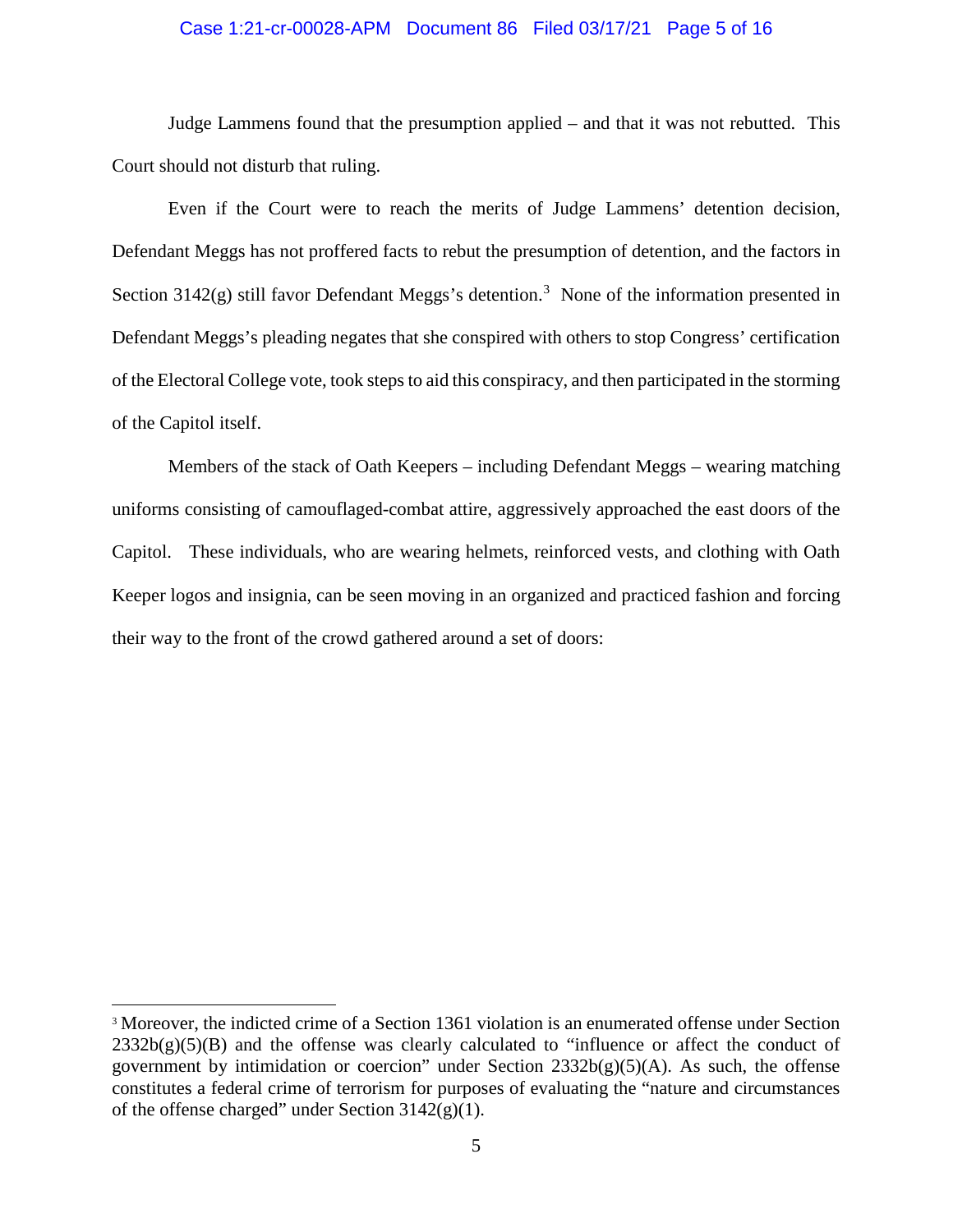### Case 1:21-cr-00028-APM Document 86 Filed 03/17/21 Page 5 of 16

Judge Lammens found that the presumption applied – and that it was not rebutted. This Court should not disturb that ruling.

Even if the Court were to reach the merits of Judge Lammens' detention decision, Defendant Meggs has not proffered facts to rebut the presumption of detention, and the factors in Section  $3142(g)$  still favor Defendant Meggs's detention.<sup>3</sup> None of the information presented in Defendant Meggs's pleading negates that she conspired with others to stop Congress' certification of the Electoral College vote, took steps to aid this conspiracy, and then participated in the storming of the Capitol itself.

Members of the stack of Oath Keepers – including Defendant Meggs – wearing matching uniforms consisting of camouflaged-combat attire, aggressively approached the east doors of the Capitol. These individuals, who are wearing helmets, reinforced vests, and clothing with Oath Keeper logos and insignia, can be seen moving in an organized and practiced fashion and forcing their way to the front of the crowd gathered around a set of doors:

 <sup>3</sup> Moreover, the indicted crime of a Section 1361 violation is an enumerated offense under Section  $2332b(g)(5)(B)$  and the offense was clearly calculated to "influence or affect the conduct of government by intimidation or coercion" under Section  $2332b(g)(5)(A)$ . As such, the offense constitutes a federal crime of terrorism for purposes of evaluating the "nature and circumstances of the offense charged" under Section  $3142(g)(1)$ .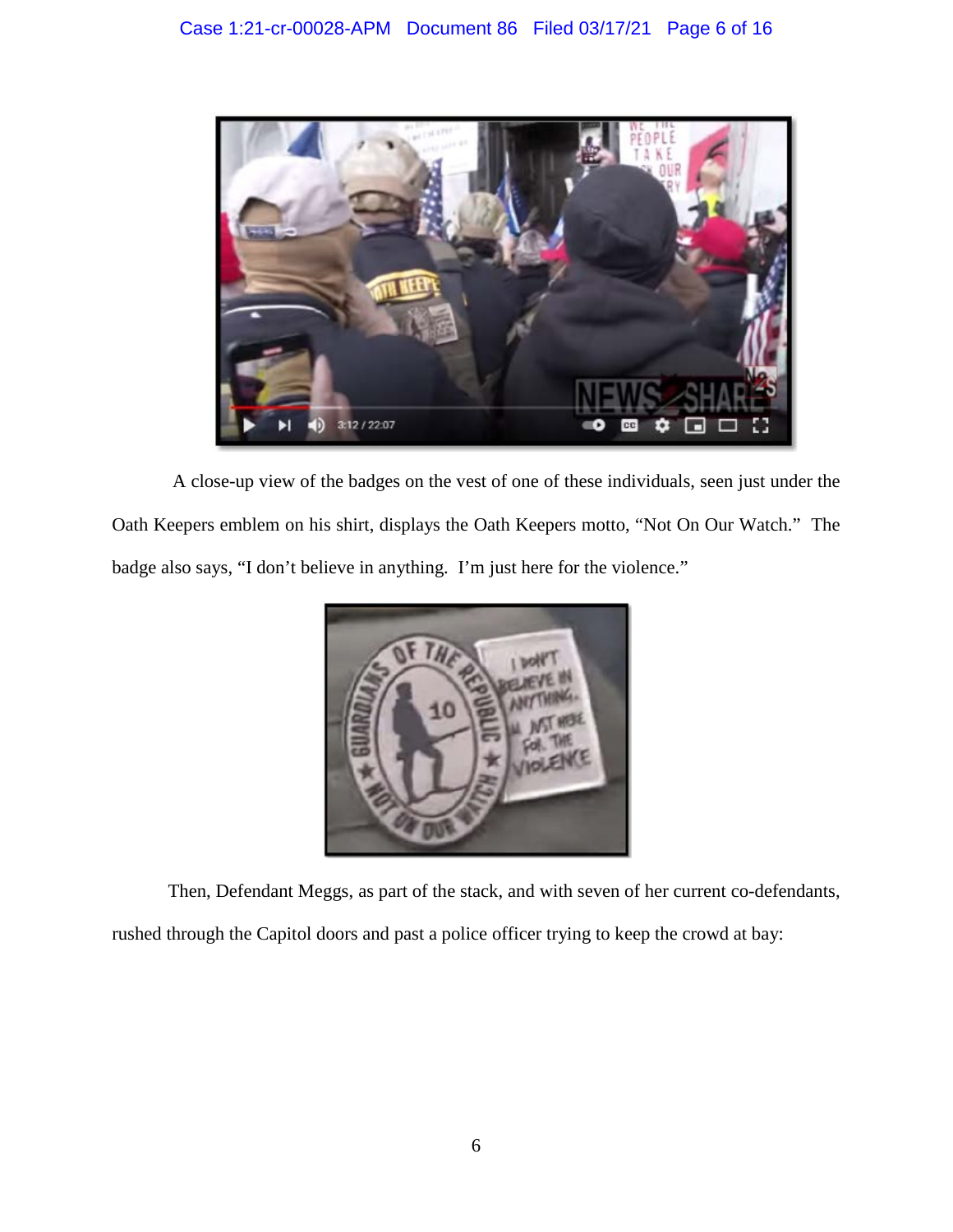

A close-up view of the badges on the vest of one of these individuals, seen just under the Oath Keepers emblem on his shirt, displays the Oath Keepers motto, "Not On Our Watch." The badge also says, "I don't believe in anything. I'm just here for the violence."



Then, Defendant Meggs, as part of the stack, and with seven of her current co-defendants,

rushed through the Capitol doors and past a police officer trying to keep the crowd at bay: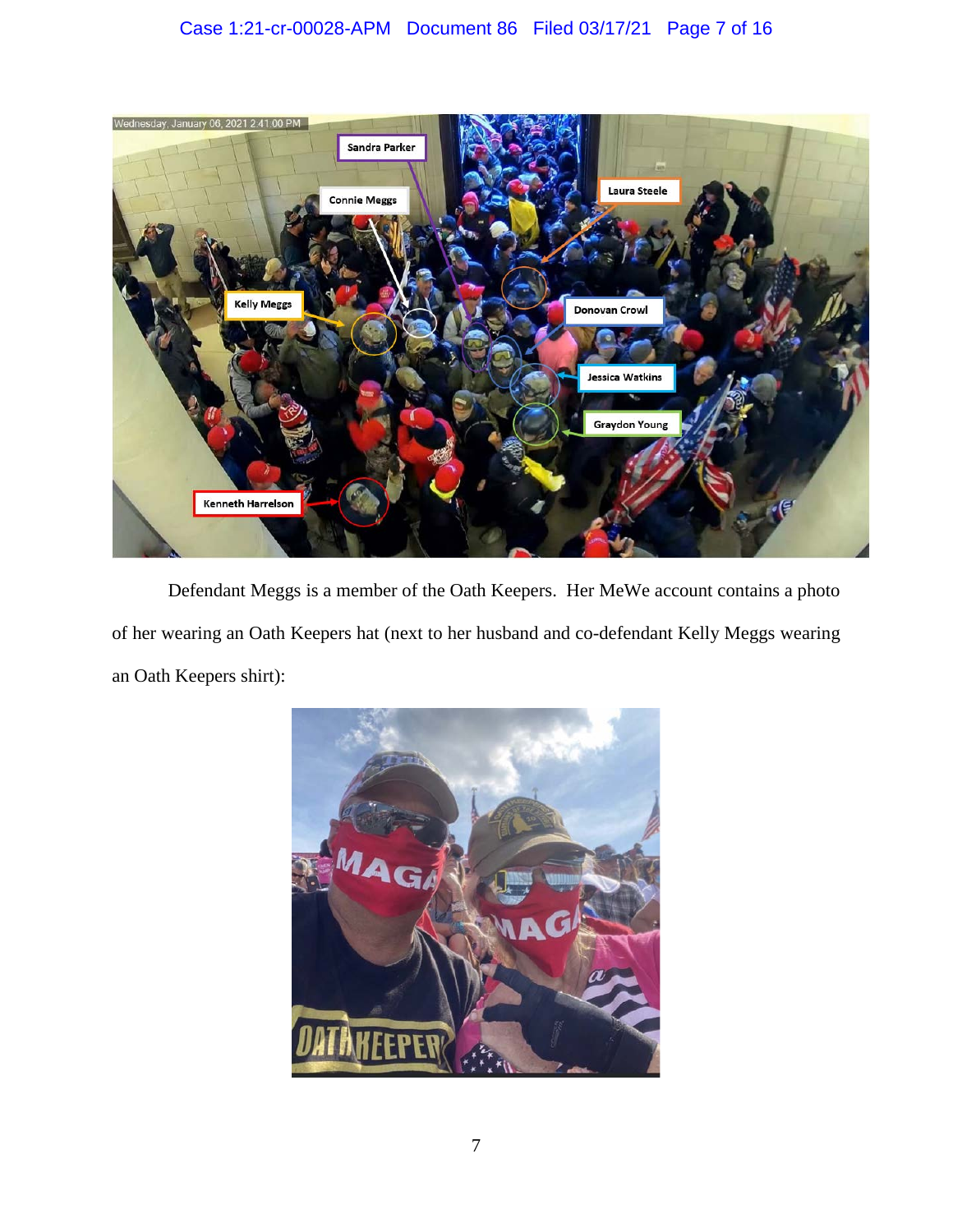# Case 1:21-cr-00028-APM Document 86 Filed 03/17/21 Page 7 of 16



Defendant Meggs is a member of the Oath Keepers. Her MeWe account contains a photo of her wearing an Oath Keepers hat (next to her husband and co-defendant Kelly Meggs wearing an Oath Keepers shirt):

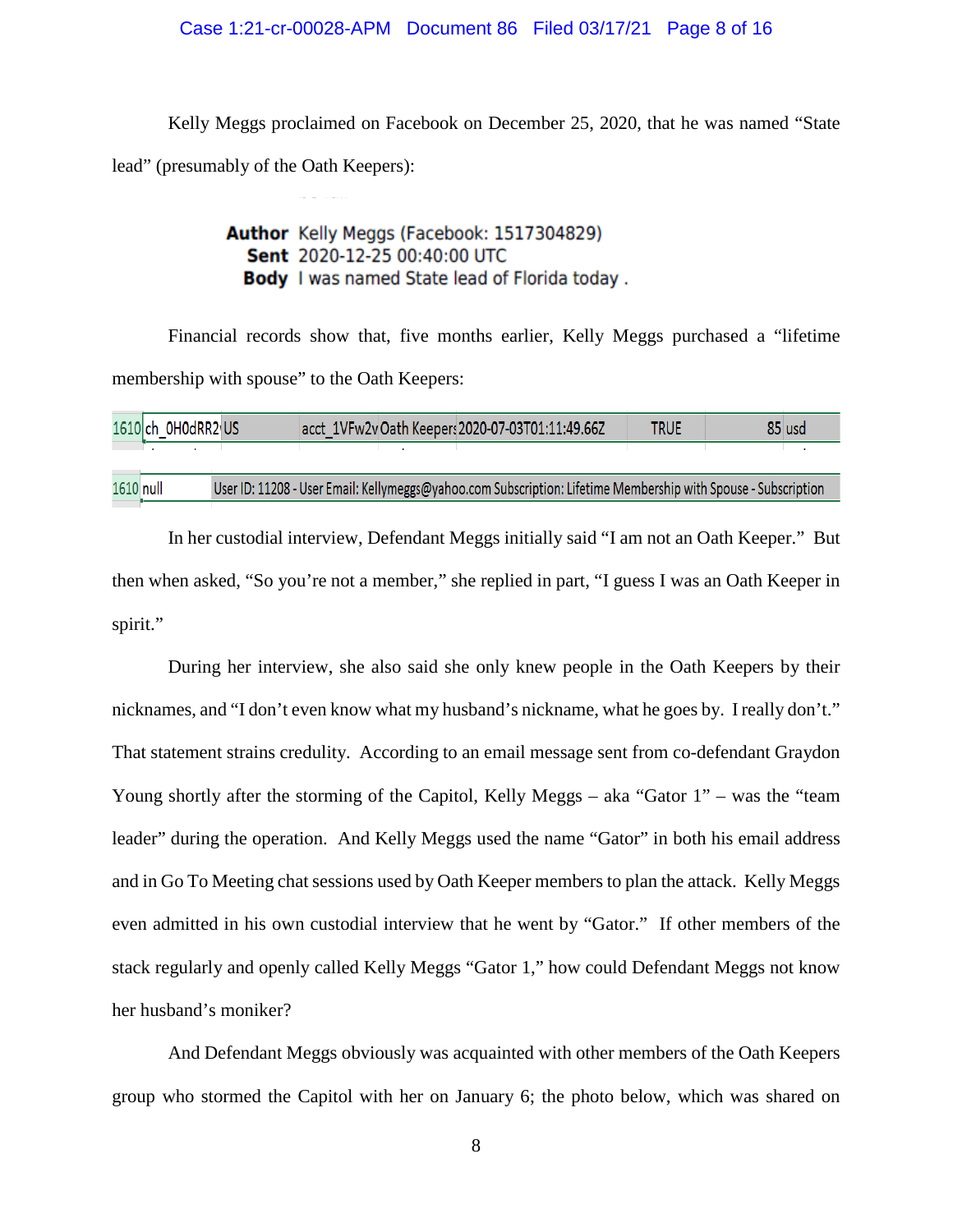### Case 1:21-cr-00028-APM Document 86 Filed 03/17/21 Page 8 of 16

Kelly Meggs proclaimed on Facebook on December 25, 2020, that he was named "State lead" (presumably of the Oath Keepers):

## Author Kelly Meggs (Facebook: 1517304829) Sent 2020-12-25 00:40:00 UTC Body I was named State lead of Florida today.

Financial records show that, five months earlier, Kelly Meggs purchased a "lifetime membership with spouse" to the Oath Keepers:

|           | 1610 ch_0H0dRR2 US |  | acct 1VFw2vOath Keepers 2020-07-03T01:11:49.66Z                                                                | <b>TRUE</b> | 85 usd |
|-----------|--------------------|--|----------------------------------------------------------------------------------------------------------------|-------------|--------|
|           |                    |  |                                                                                                                |             |        |
| 1610 null |                    |  | User ID: 11208 - User Email: Kellymeggs@yahoo.com Subscription: Lifetime Membership with Spouse - Subscription |             |        |

In her custodial interview, Defendant Meggs initially said "I am not an Oath Keeper." But then when asked, "So you're not a member," she replied in part, "I guess I was an Oath Keeper in spirit."

During her interview, she also said she only knew people in the Oath Keepers by their nicknames, and "I don't even know what my husband's nickname, what he goes by. I really don't." That statement strains credulity. According to an email message sent from co-defendant Graydon Young shortly after the storming of the Capitol, Kelly Meggs – aka "Gator 1" – was the "team leader" during the operation. And Kelly Meggs used the name "Gator" in both his email address and in Go To Meeting chat sessions used by Oath Keeper members to plan the attack. Kelly Meggs even admitted in his own custodial interview that he went by "Gator." If other members of the stack regularly and openly called Kelly Meggs "Gator 1," how could Defendant Meggs not know her husband's moniker?

And Defendant Meggs obviously was acquainted with other members of the Oath Keepers group who stormed the Capitol with her on January 6; the photo below, which was shared on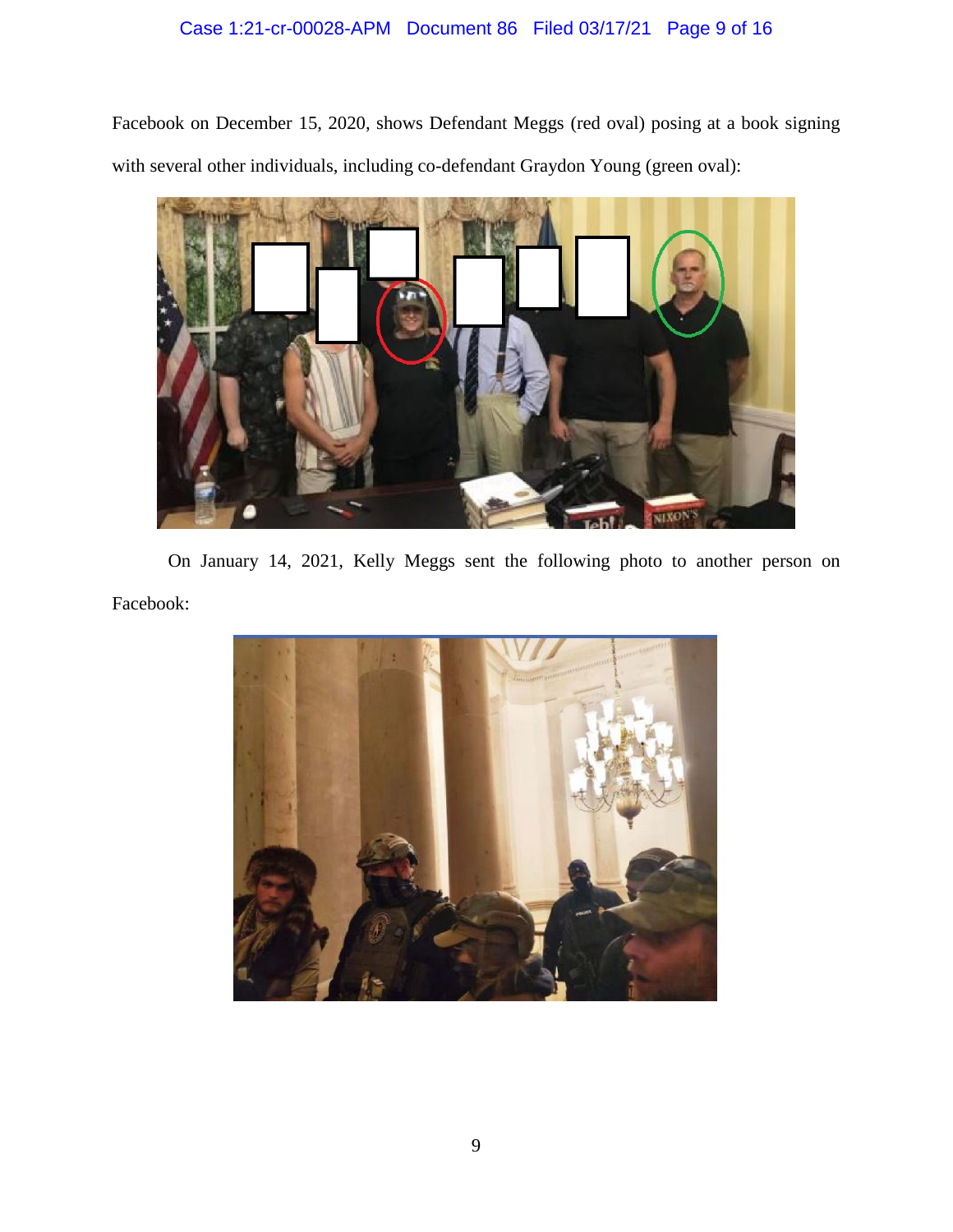# Case 1:21-cr-00028-APM Document 86 Filed 03/17/21 Page 9 of 16

Facebook on December 15, 2020, shows Defendant Meggs (red oval) posing at a book signing with several other individuals, including co-defendant Graydon Young (green oval):



On January 14, 2021, Kelly Meggs sent the following photo to another person on Facebook:

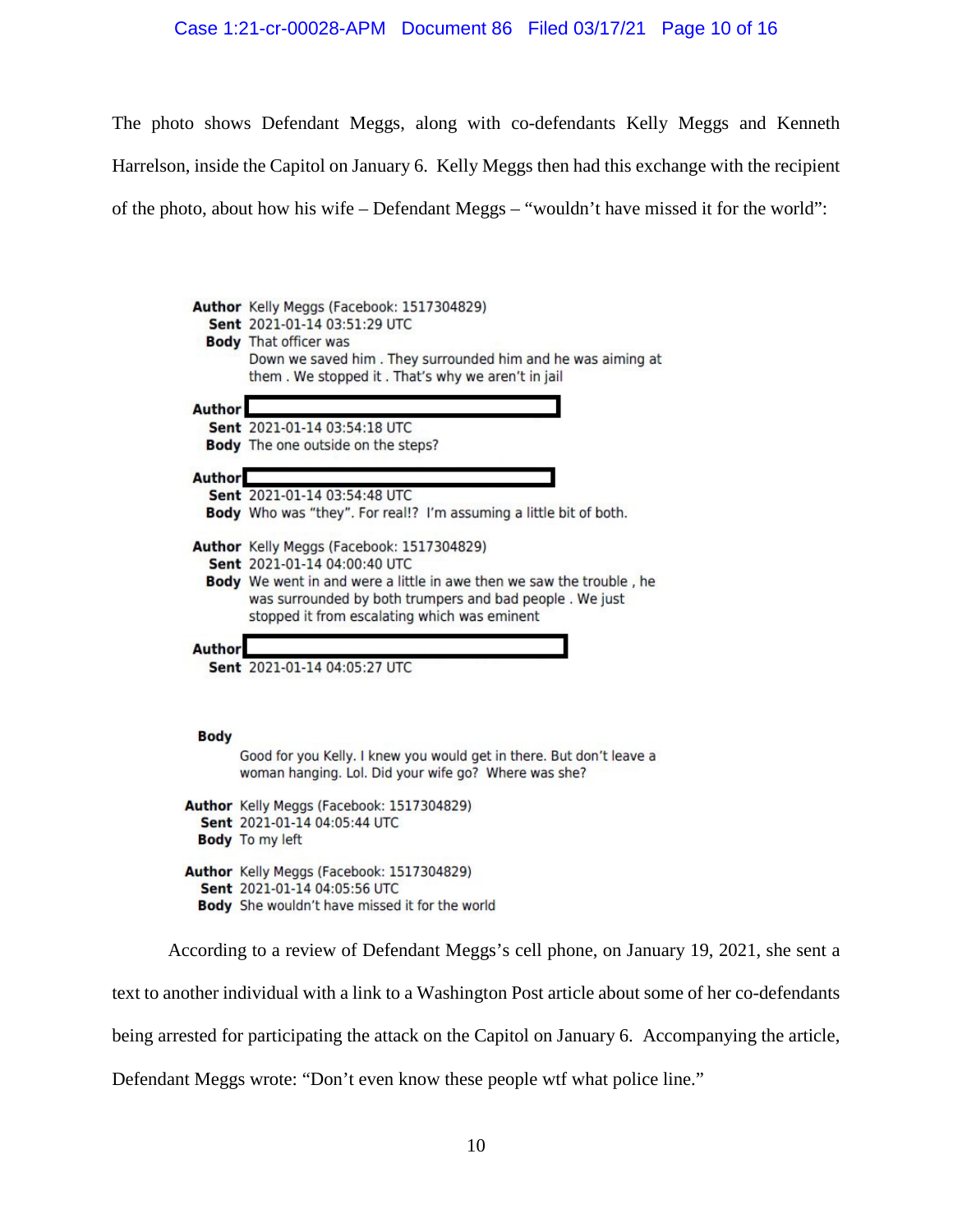### Case 1:21-cr-00028-APM Document 86 Filed 03/17/21 Page 10 of 16

The photo shows Defendant Meggs, along with co-defendants Kelly Meggs and Kenneth

Harrelson, inside the Capitol on January 6. Kelly Meggs then had this exchange with the recipient

of the photo, about how his wife – Defendant Meggs – "wouldn't have missed it for the world":

|               | Author Kelly Meggs (Facebook: 1517304829)<br>Sent 2021-01-14 03:51:29 UTC<br><b>Body</b> That officer was<br>Down we saved him. They surrounded him and he was aiming at<br>them. We stopped it. That's why we aren't in jail                                |
|---------------|--------------------------------------------------------------------------------------------------------------------------------------------------------------------------------------------------------------------------------------------------------------|
| <b>Author</b> | Sent 2021-01-14 03:54:18 UTC<br>Body The one outside on the steps?                                                                                                                                                                                           |
| <b>Author</b> | Sent 2021-01-14 03:54:48 UTC<br>Body Who was "they". For real!? I'm assuming a little bit of both.                                                                                                                                                           |
|               | Author Kelly Meggs (Facebook: 1517304829)<br>Sent 2021-01-14 04:00:40 UTC<br>Body We went in and were a little in awe then we saw the trouble, he<br>was surrounded by both trumpers and bad people. We just<br>stopped it from escalating which was eminent |
| <b>Author</b> | Sent 2021-01-14 04:05:27 UTC                                                                                                                                                                                                                                 |
| <b>Body</b>   | Good for you Kelly. I knew you would get in there. But don't leave a<br>woman hanging. Lol. Did your wife go? Where was she?                                                                                                                                 |
|               | Author Kelly Meggs (Facebook: 1517304829)<br>Sent 2021-01-14 04:05:44 UTC<br><b>Body</b> To my left                                                                                                                                                          |
|               | Author Kelly Meggs (Facebook: 1517304829)<br>Sent 2021-01-14 04:05:56 UTC<br>Body She wouldn't have missed it for the world                                                                                                                                  |

According to a review of Defendant Meggs's cell phone, on January 19, 2021, she sent a

text to another individual with a link to a Washington Post article about some of her co-defendants

being arrested for participating the attack on the Capitol on January 6. Accompanying the article,

Defendant Meggs wrote: "Don't even know these people wtf what police line."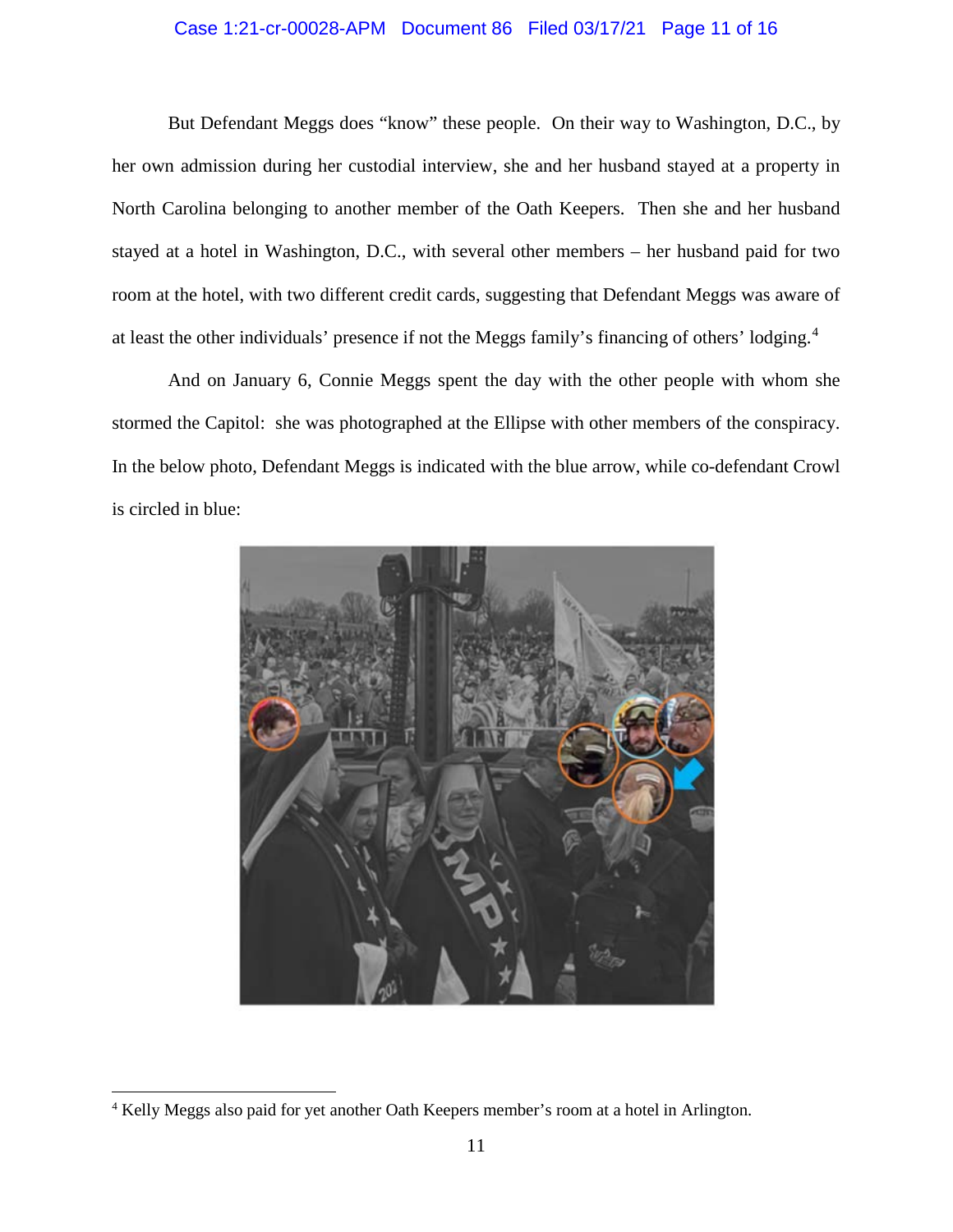### Case 1:21-cr-00028-APM Document 86 Filed 03/17/21 Page 11 of 16

But Defendant Meggs does "know" these people. On their way to Washington, D.C., by her own admission during her custodial interview, she and her husband stayed at a property in North Carolina belonging to another member of the Oath Keepers. Then she and her husband stayed at a hotel in Washington, D.C., with several other members – her husband paid for two room at the hotel, with two different credit cards, suggesting that Defendant Meggs was aware of at least the other individuals' presence if not the Meggs family's financing of others' lodging.<sup>4</sup>

And on January 6, Connie Meggs spent the day with the other people with whom she stormed the Capitol: she was photographed at the Ellipse with other members of the conspiracy. In the below photo, Defendant Meggs is indicated with the blue arrow, while co-defendant Crowl is circled in blue:



 <sup>4</sup> Kelly Meggs also paid for yet another Oath Keepers member's room at a hotel in Arlington.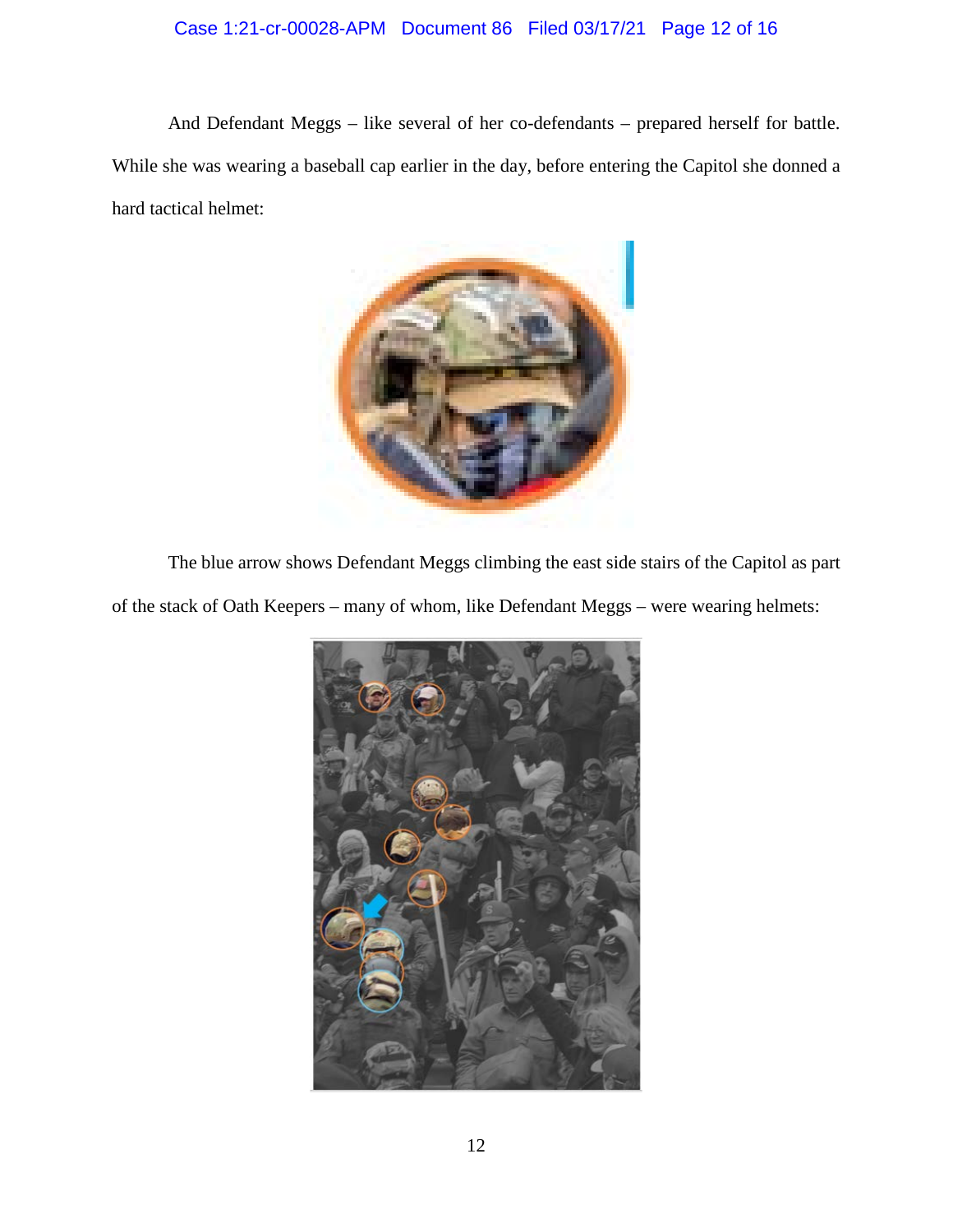## Case 1:21-cr-00028-APM Document 86 Filed 03/17/21 Page 12 of 16

And Defendant Meggs – like several of her co-defendants – prepared herself for battle. While she was wearing a baseball cap earlier in the day, before entering the Capitol she donned a hard tactical helmet:



The blue arrow shows Defendant Meggs climbing the east side stairs of the Capitol as part of the stack of Oath Keepers – many of whom, like Defendant Meggs – were wearing helmets:

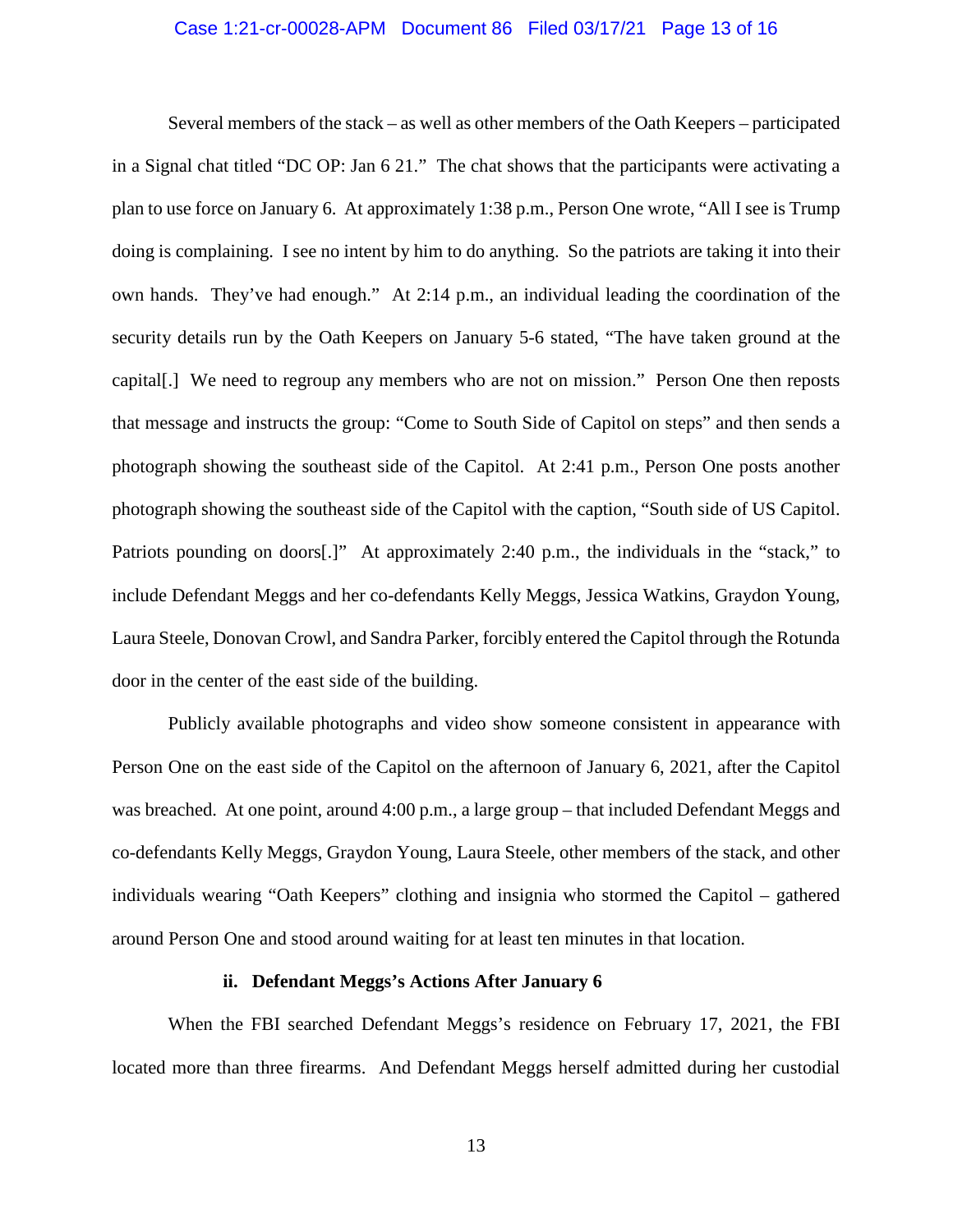### Case 1:21-cr-00028-APM Document 86 Filed 03/17/21 Page 13 of 16

Several members of the stack – as well as other members of the Oath Keepers – participated in a Signal chat titled "DC OP: Jan 6 21." The chat shows that the participants were activating a plan to use force on January 6. At approximately 1:38 p.m., Person One wrote, "All I see is Trump doing is complaining. I see no intent by him to do anything. So the patriots are taking it into their own hands. They've had enough." At 2:14 p.m., an individual leading the coordination of the security details run by the Oath Keepers on January 5-6 stated, "The have taken ground at the capital[.] We need to regroup any members who are not on mission." Person One then reposts that message and instructs the group: "Come to South Side of Capitol on steps" and then sends a photograph showing the southeast side of the Capitol. At 2:41 p.m., Person One posts another photograph showing the southeast side of the Capitol with the caption, "South side of US Capitol. Patriots pounding on doors<sup>[1]</sup>. At approximately 2:40 p.m., the individuals in the "stack," to include Defendant Meggs and her co-defendants Kelly Meggs, Jessica Watkins, Graydon Young, Laura Steele, Donovan Crowl, and Sandra Parker, forcibly entered the Capitol through the Rotunda door in the center of the east side of the building.

Publicly available photographs and video show someone consistent in appearance with Person One on the east side of the Capitol on the afternoon of January 6, 2021, after the Capitol was breached. At one point, around 4:00 p.m., a large group – that included Defendant Meggs and co-defendants Kelly Meggs, Graydon Young, Laura Steele, other members of the stack, and other individuals wearing "Oath Keepers" clothing and insignia who stormed the Capitol – gathered around Person One and stood around waiting for at least ten minutes in that location.

### **ii. Defendant Meggs's Actions After January 6**

When the FBI searched Defendant Meggs's residence on February 17, 2021, the FBI located more than three firearms. And Defendant Meggs herself admitted during her custodial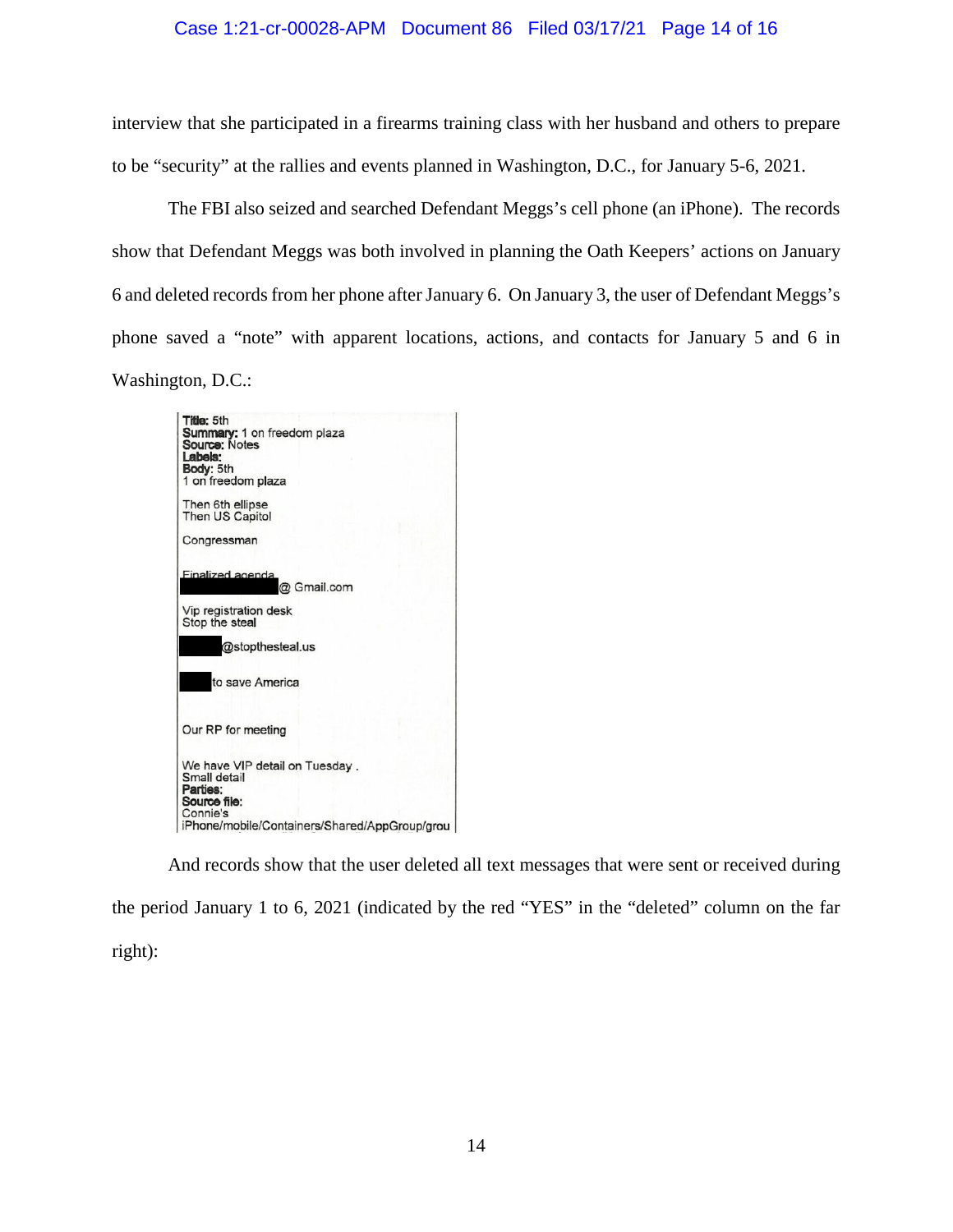### Case 1:21-cr-00028-APM Document 86 Filed 03/17/21 Page 14 of 16

interview that she participated in a firearms training class with her husband and others to prepare to be "security" at the rallies and events planned in Washington, D.C., for January 5-6, 2021.

The FBI also seized and searched Defendant Meggs's cell phone (an iPhone). The records show that Defendant Meggs was both involved in planning the Oath Keepers' actions on January 6 and deleted records from her phone after January 6. On January 3, the user of Defendant Meggs's phone saved a "note" with apparent locations, actions, and contacts for January 5 and 6 in Washington, D.C.:



And records show that the user deleted all text messages that were sent or received during the period January 1 to 6, 2021 (indicated by the red "YES" in the "deleted" column on the far right):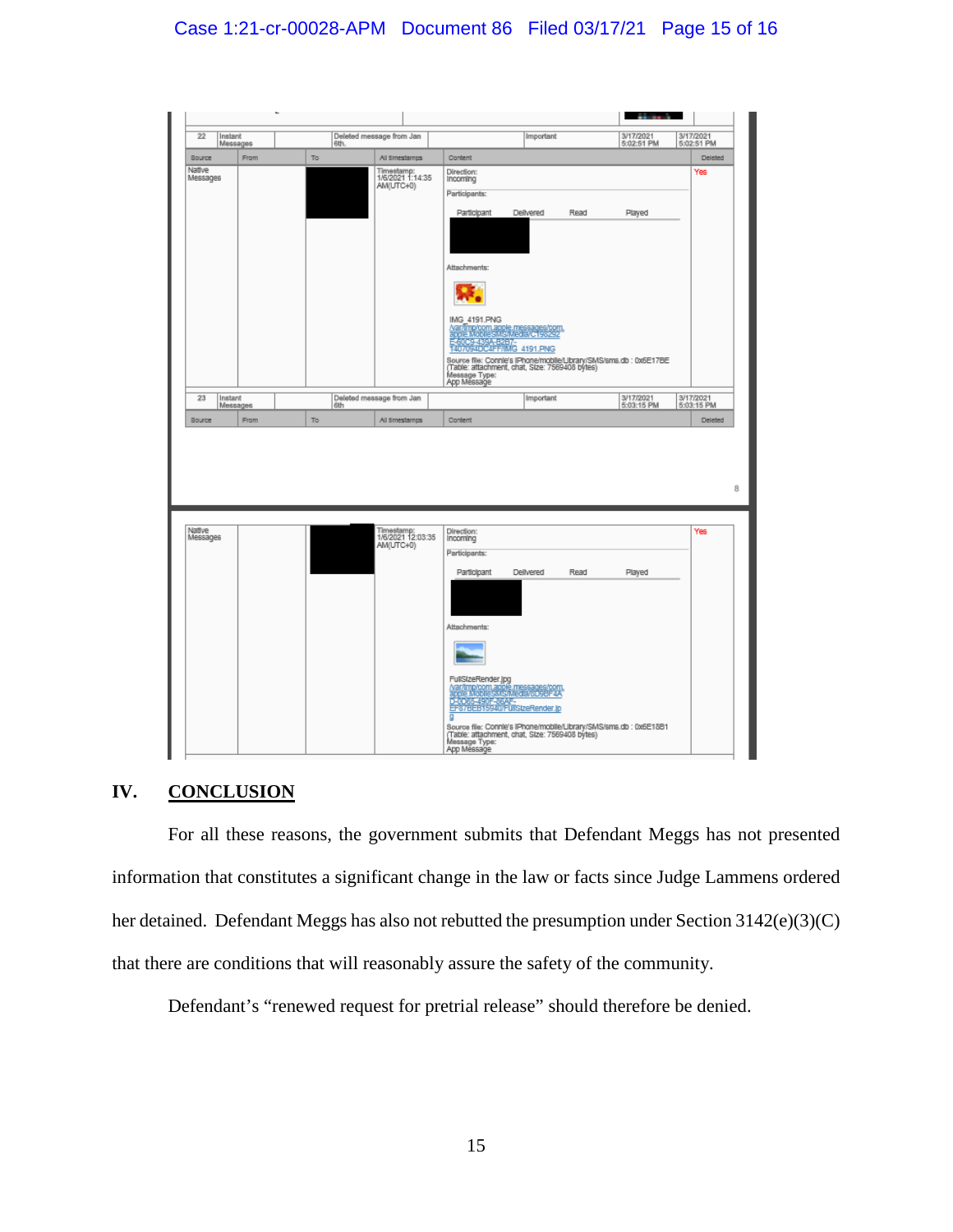## Case 1:21-cr-00028-APM Document 86 Filed 03/17/21 Page 15 of 16



## **IV. CONCLUSION**

For all these reasons, the government submits that Defendant Meggs has not presented information that constitutes a significant change in the law or facts since Judge Lammens ordered her detained. Defendant Meggs has also not rebutted the presumption under Section 3142(e)(3)(C) that there are conditions that will reasonably assure the safety of the community.

Defendant's "renewed request for pretrial release" should therefore be denied.